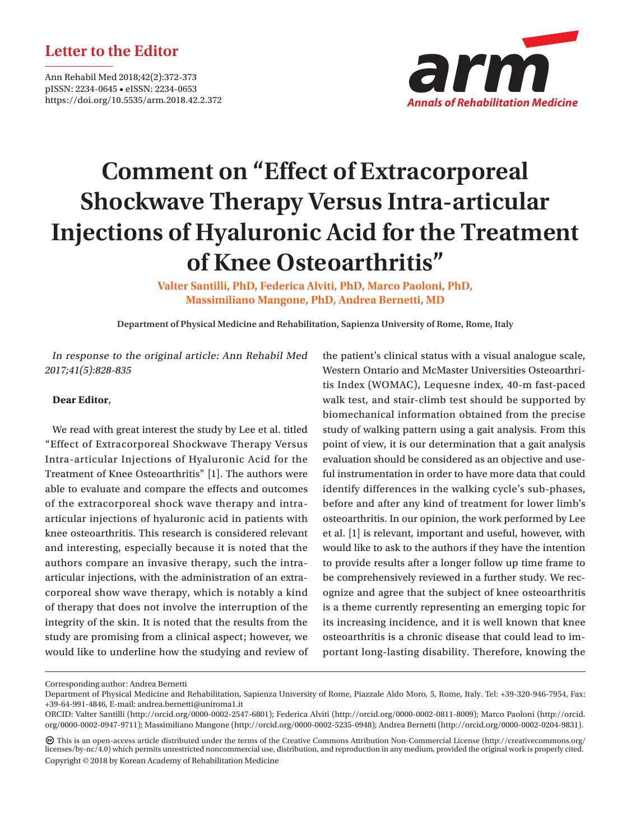## **Letter to the Editor**



## **Comment on "Effect of Extracorporeal Shockwave Therapy Versus Intra-articular Injections of Hyaluronic Acid for the Treatment of Knee Osteoarthritis"**

**Valter Santilli, PhD, Federica Alviti, PhD, Marco Paoloni, PhD, Massimiliano Mangone, PhD, Andrea Bernetti, MD**

**Department of Physical Medicine and Rehabilitation, Sapienza University of Rome, Rome, Italy**

In response to the original article: Ann Rehabil Med 2017;41(5):828-835

## **Dear Editor**,

We read with great interest the study by Lee et al. titled "Effect of Extracorporeal Shockwave Therapy Versus Intra-articular Injections of Hyaluronic Acid for the Treatment of Knee Osteoarthritis" [1]. The authors were able to evaluate and compare the effects and outcomes of the extracorporeal shock wave therapy and intraarticular injections of hyaluronic acid in patients with knee osteoarthritis. This research is considered relevant and interesting, especially because it is noted that the authors compare an invasive therapy, such the intraarticular injections, with the administration of an extracorporeal show wave therapy, which is notably a kind of therapy that does not involve the interruption of the integrity of the skin. It is noted that the results from the study are promising from a clinical aspect; however, we would like to underline how the studying and review of

the patient's clinical status with a visual analogue scale, Western Ontario and McMaster Universities Osteoarthritis Index (WOMAC), Lequesne index, 40-m fast-paced walk test, and stair-climb test should be supported by biomechanical information obtained from the precise study of walking pattern using a gait analysis. From this point of view, it is our determination that a gait analysis evaluation should be considered as an objective and useful instrumentation in order to have more data that could identify differences in the walking cycle's sub-phases, before and after any kind of treatment for lower limb's osteoarthritis. In our opinion, the work performed by Lee et al. [1] is relevant, important and useful, however, with would like to ask to the authors if they have the intention to provide results after a longer follow up time frame to be comprehensively reviewed in a further study. We recognize and agree that the subject of knee osteoarthritis is a theme currently representing an emerging topic for its increasing incidence, and it is well known that knee osteoarthritis is a chronic disease that could lead to important long-lasting disability. Therefore, knowing the

Corresponding author: Andrea Bernetti

Department of Physical Medicine and Rehabilitation, Sapienza University of Rome, Piazzale Aldo Moro, 5, Rome, Italy. Tel: +39-320-946-7954, Fax: +39-64-991-4846, E-mail: andrea.bernetti@uniroma1.it

ORCID: Valter Santilli (http://orcid.org/0000-0002-2547-6801); Federica Alviti (http://orcid.org/0000-0002-0811-8009); Marco Paoloni (http://orcid. org/0000-0002-0947-9711); Massimiliano Mangone (http://orcid.org/0000-0002-5235-0948); Andrea Bernetti (http://orcid.org/0000-0002-0204-9831).

This is an open-access article distributed under the terms of the Creative Commons Attribution Non-Commercial License (http://creativecommons.org/ licenses/by-nc/4.0) which permits unrestricted noncommercial use, distribution, and reproduction in any medium, provided the original work is properly cited. Copyright © 2018 by Korean Academy of Rehabilitation Medicine